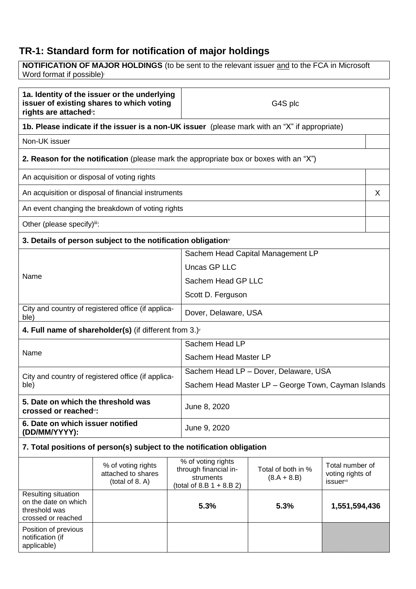# **TR-1: Standard form for notification of major holdings**

Position of previous notification (if applicable)

**NOTIFICATION OF MAJOR HOLDINGS** (to be sent to the relevant issuer and to the FCA in Microsoft Word format if possible)

| 1a. Identity of the issuer or the underlying<br>issuer of existing shares to which voting<br>rights are attached <sup>®</sup> : |                                                                                               | G4S plc                               |                                                     |                                     |                              |  |
|---------------------------------------------------------------------------------------------------------------------------------|-----------------------------------------------------------------------------------------------|---------------------------------------|-----------------------------------------------------|-------------------------------------|------------------------------|--|
|                                                                                                                                 | 1b. Please indicate if the issuer is a non-UK issuer (please mark with an "X" if appropriate) |                                       |                                                     |                                     |                              |  |
| Non-UK issuer                                                                                                                   |                                                                                               |                                       |                                                     |                                     |                              |  |
|                                                                                                                                 | <b>2. Reason for the notification</b> (please mark the appropriate box or boxes with an "X")  |                                       |                                                     |                                     |                              |  |
| An acquisition or disposal of voting rights                                                                                     |                                                                                               |                                       |                                                     |                                     |                              |  |
|                                                                                                                                 | An acquisition or disposal of financial instruments                                           |                                       |                                                     |                                     | X                            |  |
|                                                                                                                                 | An event changing the breakdown of voting rights                                              |                                       |                                                     |                                     |                              |  |
| Other (please specify)iii:                                                                                                      |                                                                                               |                                       |                                                     |                                     |                              |  |
|                                                                                                                                 | 3. Details of person subject to the notification obligation <sup>®</sup>                      |                                       |                                                     |                                     |                              |  |
|                                                                                                                                 |                                                                                               |                                       | Sachem Head Capital Management LP                   |                                     |                              |  |
| Name                                                                                                                            |                                                                                               | Uncas GP LLC                          |                                                     |                                     |                              |  |
|                                                                                                                                 |                                                                                               | Sachem Head GP LLC                    |                                                     |                                     |                              |  |
|                                                                                                                                 |                                                                                               | Scott D. Ferguson                     |                                                     |                                     |                              |  |
| City and country of registered office (if applica-<br>ble)                                                                      |                                                                                               | Dover, Delaware, USA                  |                                                     |                                     |                              |  |
| 4. Full name of shareholder(s) (if different from $3.$ )                                                                        |                                                                                               |                                       |                                                     |                                     |                              |  |
|                                                                                                                                 |                                                                                               | Sachem Head LP                        |                                                     |                                     |                              |  |
| Name                                                                                                                            |                                                                                               | Sachem Head Master LP                 |                                                     |                                     |                              |  |
| City and country of registered office (if applica-<br>ble)                                                                      |                                                                                               | Sachem Head LP - Dover, Delaware, USA |                                                     |                                     |                              |  |
|                                                                                                                                 |                                                                                               |                                       | Sachem Head Master LP - George Town, Cayman Islands |                                     |                              |  |
| 5. Date on which the threshold was<br>crossed or reached <sup>vi</sup> :                                                        |                                                                                               | June 8, 2020                          |                                                     |                                     |                              |  |
| 6. Date on which issuer notified<br>(DD/MM/YYYY):                                                                               |                                                                                               | June 9, 2020                          |                                                     |                                     |                              |  |
|                                                                                                                                 | 7. Total positions of person(s) subject to the notification obligation                        |                                       |                                                     |                                     |                              |  |
|                                                                                                                                 | % of voting rights                                                                            |                                       | % of voting rights                                  |                                     | Total number of              |  |
|                                                                                                                                 | attached to shares                                                                            |                                       | through financial in-<br>struments                  | Total of both in %<br>$(8.A + 8.B)$ | voting rights of             |  |
|                                                                                                                                 | (total of $8. A$ )                                                                            |                                       | (total of 8.B $1 + 8.B 2$ )                         |                                     | <i>issuer</i> <sup>vii</sup> |  |
| Resulting situation<br>on the date on which                                                                                     |                                                                                               |                                       |                                                     |                                     |                              |  |
| threshold was                                                                                                                   |                                                                                               |                                       | 5.3%                                                | 5.3%                                | 1,551,594,436                |  |
| crossed or reached                                                                                                              |                                                                                               |                                       |                                                     |                                     |                              |  |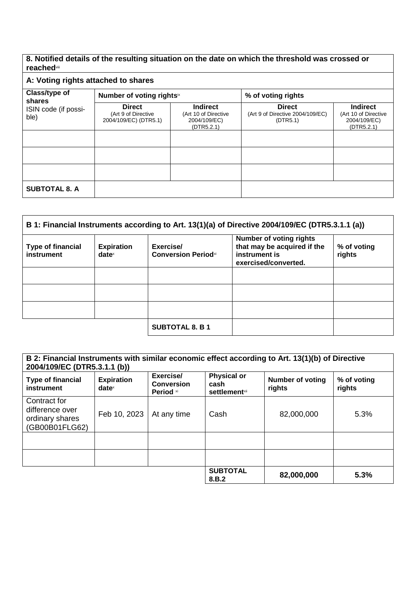## **8. Notified details of the resulting situation on the date on which the threshold was crossed or reached**viii

# **A: Voting rights attached to shares**

| Class/type of<br>shares      | Number of voting rightsix                                     |                                                                       | % of voting rights                                            |                                                                       |
|------------------------------|---------------------------------------------------------------|-----------------------------------------------------------------------|---------------------------------------------------------------|-----------------------------------------------------------------------|
| ISIN code (if possi-<br>ble) | <b>Direct</b><br>(Art 9 of Directive<br>2004/109/EC) (DTR5.1) | <b>Indirect</b><br>(Art 10 of Directive<br>2004/109/EC)<br>(DTR5.2.1) | <b>Direct</b><br>(Art 9 of Directive 2004/109/EC)<br>(DTR5.1) | <b>Indirect</b><br>(Art 10 of Directive<br>2004/109/EC)<br>(DTR5.2.1) |
|                              |                                                               |                                                                       |                                                               |                                                                       |
|                              |                                                               |                                                                       |                                                               |                                                                       |
|                              |                                                               |                                                                       |                                                               |                                                                       |
| <b>SUBTOTAL 8. A</b>         |                                                               |                                                                       |                                                               |                                                                       |

| B 1: Financial Instruments according to Art. 13(1)(a) of Directive 2004/109/EC (DTR5.3.1.1 (a)) |                               |                                          |                                                                                                        |                       |
|-------------------------------------------------------------------------------------------------|-------------------------------|------------------------------------------|--------------------------------------------------------------------------------------------------------|-----------------------|
| <b>Type of financial</b><br>instrument                                                          | <b>Expiration</b><br>$date^x$ | Exercise/<br><b>Conversion Period</b> xi | <b>Number of voting rights</b><br>that may be acquired if the<br>instrument is<br>exercised/converted. | % of voting<br>rights |
|                                                                                                 |                               |                                          |                                                                                                        |                       |
|                                                                                                 |                               |                                          |                                                                                                        |                       |
|                                                                                                 |                               |                                          |                                                                                                        |                       |
|                                                                                                 |                               | <b>SUBTOTAL 8. B 1</b>                   |                                                                                                        |                       |

| B 2: Financial Instruments with similar economic effect according to Art. 13(1)(b) of Directive<br>2004/109/EC (DTR5.3.1.1 (b)) |                               |                                             |                                                                |                                   |                       |
|---------------------------------------------------------------------------------------------------------------------------------|-------------------------------|---------------------------------------------|----------------------------------------------------------------|-----------------------------------|-----------------------|
| <b>Type of financial</b><br>instrument                                                                                          | <b>Expiration</b><br>$date^x$ | Exercise/<br><b>Conversion</b><br>Period xi | <b>Physical or</b><br>cash<br><b>settlement</b> <sup>xii</sup> | <b>Number of voting</b><br>rights | % of voting<br>rights |
| Contract for<br>difference over<br>ordinary shares<br>(GB00B01FLG62)                                                            | Feb 10, 2023                  | At any time                                 | Cash                                                           | 82,000,000                        | 5.3%                  |
|                                                                                                                                 |                               |                                             |                                                                |                                   |                       |
|                                                                                                                                 |                               |                                             |                                                                |                                   |                       |
|                                                                                                                                 |                               |                                             | <b>SUBTOTAL</b><br>8.B.2                                       | 82,000,000                        | 5.3%                  |